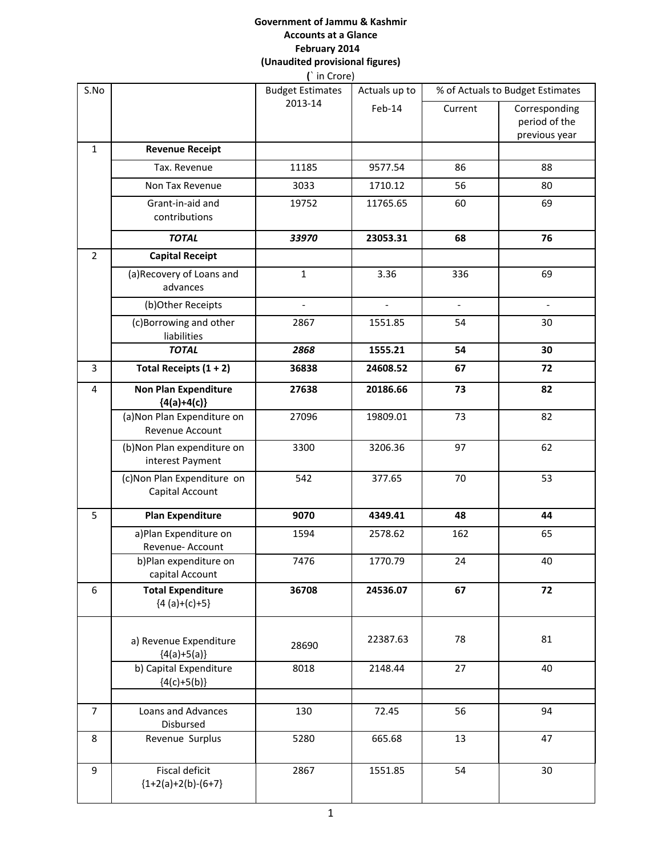#### **Government of Jammu & Kashmir Accounts at a Glance February 2014 (Unaudited provisional figures) (**` in Crore)

| S.No           |                                                | $\left($ $\left  \right $ $\left  \right $ $\left  \right $ $\left  \right $ $\left  \right $<br><b>Budget Estimates</b> | Actuals up to            | % of Actuals to Budget Estimates |                                                 |
|----------------|------------------------------------------------|--------------------------------------------------------------------------------------------------------------------------|--------------------------|----------------------------------|-------------------------------------------------|
|                |                                                | 2013-14                                                                                                                  | Feb-14                   | Current                          | Corresponding<br>period of the<br>previous year |
| $\mathbf{1}$   | <b>Revenue Receipt</b>                         |                                                                                                                          |                          |                                  |                                                 |
|                | Tax. Revenue                                   | 11185                                                                                                                    | 9577.54                  | 86                               | 88                                              |
|                | Non Tax Revenue                                | 3033                                                                                                                     | 1710.12                  | 56                               | 80                                              |
|                | Grant-in-aid and<br>contributions              | 19752                                                                                                                    | 11765.65                 | 60                               | 69                                              |
|                | <b>TOTAL</b>                                   | 33970                                                                                                                    | 23053.31                 | 68                               | 76                                              |
| $\overline{2}$ | <b>Capital Receipt</b>                         |                                                                                                                          |                          |                                  |                                                 |
|                | (a) Recovery of Loans and<br>advances          | $\mathbf 1$                                                                                                              | 3.36                     | 336                              | 69                                              |
|                | (b)Other Receipts                              | $\overline{a}$                                                                                                           | $\overline{\phantom{a}}$ | $\overline{\phantom{a}}$         | $\blacksquare$                                  |
|                | (c)Borrowing and other<br>liabilities          | 2867                                                                                                                     | 1551.85                  | 54                               | 30                                              |
|                | <b>TOTAL</b>                                   | 2868                                                                                                                     | 1555.21                  | 54                               | 30                                              |
| 3              | Total Receipts $(1 + 2)$                       | 36838                                                                                                                    | 24608.52                 | 67                               | 72                                              |
| 4              | <b>Non Plan Expenditure</b><br>${4(a)+4(c)}$   | 27638                                                                                                                    | 20186.66                 | 73                               | 82                                              |
|                | (a) Non Plan Expenditure on<br>Revenue Account | 27096                                                                                                                    | 19809.01                 | 73                               | 82                                              |
|                | (b)Non Plan expenditure on<br>interest Payment | 3300                                                                                                                     | 3206.36                  | 97                               | 62                                              |
|                | (c)Non Plan Expenditure on<br>Capital Account  | 542                                                                                                                      | 377.65                   | 70                               | 53                                              |
| 5              | <b>Plan Expenditure</b>                        | 9070                                                                                                                     | 4349.41                  | 48                               | 44                                              |
|                | a)Plan Expenditure on<br>Revenue- Account      | 1594                                                                                                                     | 2578.62                  | 162                              | 65                                              |
|                | b)Plan expenditure on<br>capital Account       | 7476                                                                                                                     | 1770.79                  | 24                               | 40                                              |
| 6              | <b>Total Expenditure</b><br>${4 (a)+(c)+5}$    | 36708                                                                                                                    | 24536.07                 | 67                               | 72                                              |
|                | a) Revenue Expenditure<br>${4(a)+5(a)}$        | 28690                                                                                                                    | 22387.63                 | 78                               | 81                                              |
|                | b) Capital Expenditure<br>${4(c)+5(b)}$        | 8018                                                                                                                     | 2148.44                  | 27                               | 40                                              |
| $\overline{7}$ | Loans and Advances<br>Disbursed                | 130                                                                                                                      | 72.45                    | 56                               | 94                                              |
| 8              | Revenue Surplus                                | 5280                                                                                                                     | 665.68                   | 13                               | 47                                              |
| 9              | Fiscal deficit<br>${1+2(a)+2(b)-(6+7)}$        | 2867                                                                                                                     | 1551.85                  | 54                               | 30                                              |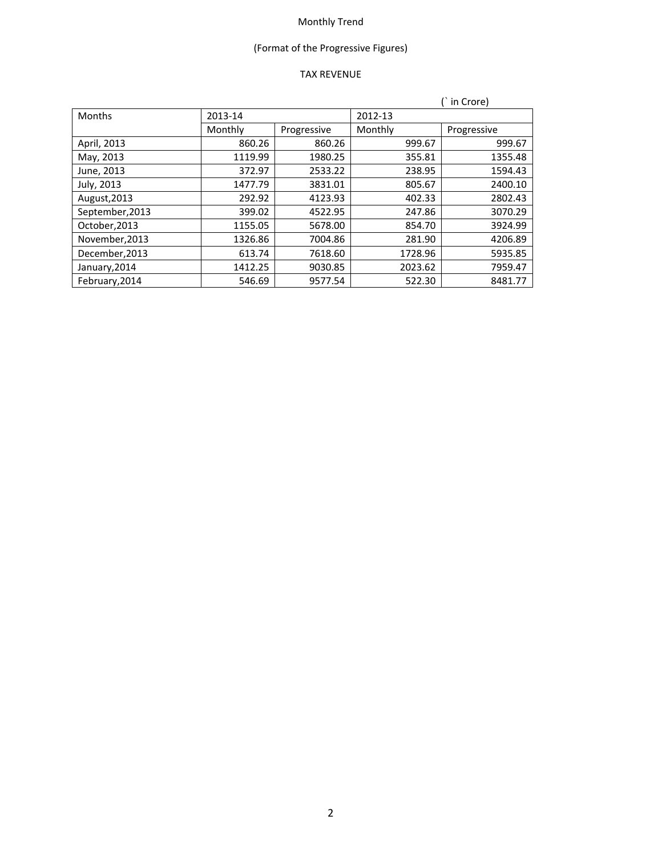# (Format of the Progressive Figures)

## TAX REVENUE

|                 |         |             |         | in Crore)   |
|-----------------|---------|-------------|---------|-------------|
| <b>Months</b>   | 2013-14 |             | 2012-13 |             |
|                 | Monthly | Progressive | Monthly | Progressive |
| April, 2013     | 860.26  | 860.26      | 999.67  | 999.67      |
| May, 2013       | 1119.99 | 1980.25     | 355.81  | 1355.48     |
| June, 2013      | 372.97  | 2533.22     | 238.95  | 1594.43     |
| July, 2013      | 1477.79 | 3831.01     | 805.67  | 2400.10     |
| August, 2013    | 292.92  | 4123.93     | 402.33  | 2802.43     |
| September, 2013 | 399.02  | 4522.95     | 247.86  | 3070.29     |
| October, 2013   | 1155.05 | 5678.00     | 854.70  | 3924.99     |
| November, 2013  | 1326.86 | 7004.86     | 281.90  | 4206.89     |
| December, 2013  | 613.74  | 7618.60     | 1728.96 | 5935.85     |
| January, 2014   | 1412.25 | 9030.85     | 2023.62 | 7959.47     |
| February, 2014  | 546.69  | 9577.54     | 522.30  | 8481.77     |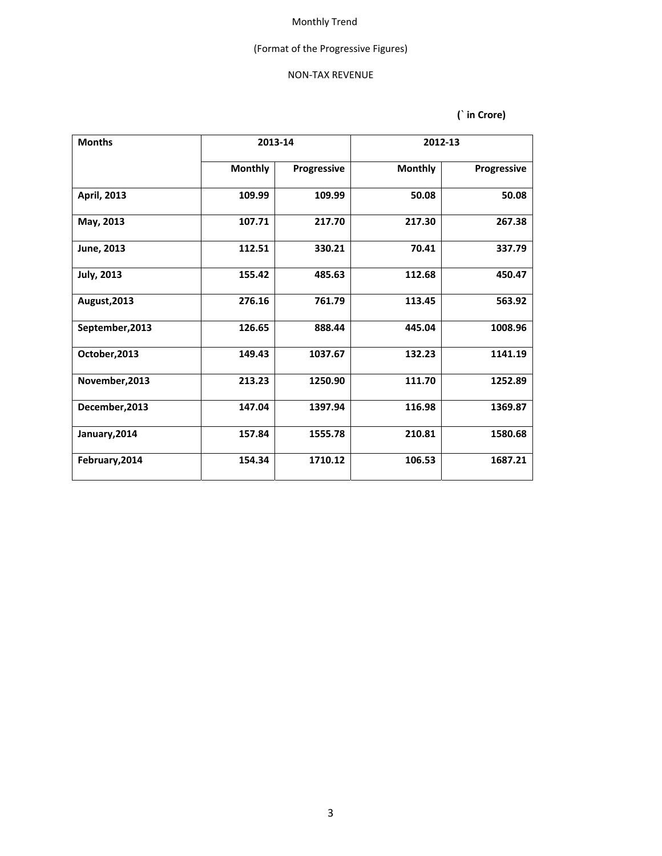## (Format of the Progressive Figures)

#### NON‐TAX REVENUE

| <b>Months</b>     | 2013-14        |             | 2012-13        |             |
|-------------------|----------------|-------------|----------------|-------------|
|                   | <b>Monthly</b> | Progressive | <b>Monthly</b> | Progressive |
| April, 2013       | 109.99         | 109.99      | 50.08          | 50.08       |
| May, 2013         | 107.71         | 217.70      | 217.30         | 267.38      |
| June, 2013        | 112.51         | 330.21      | 70.41          | 337.79      |
| <b>July, 2013</b> | 155.42         | 485.63      | 112.68         | 450.47      |
| August, 2013      | 276.16         | 761.79      | 113.45         | 563.92      |
| September, 2013   | 126.65         | 888.44      | 445.04         | 1008.96     |
| October, 2013     | 149.43         | 1037.67     | 132.23         | 1141.19     |
| November, 2013    | 213.23         | 1250.90     | 111.70         | 1252.89     |
| December, 2013    | 147.04         | 1397.94     | 116.98         | 1369.87     |
| January, 2014     | 157.84         | 1555.78     | 210.81         | 1580.68     |
| February, 2014    | 154.34         | 1710.12     | 106.53         | 1687.21     |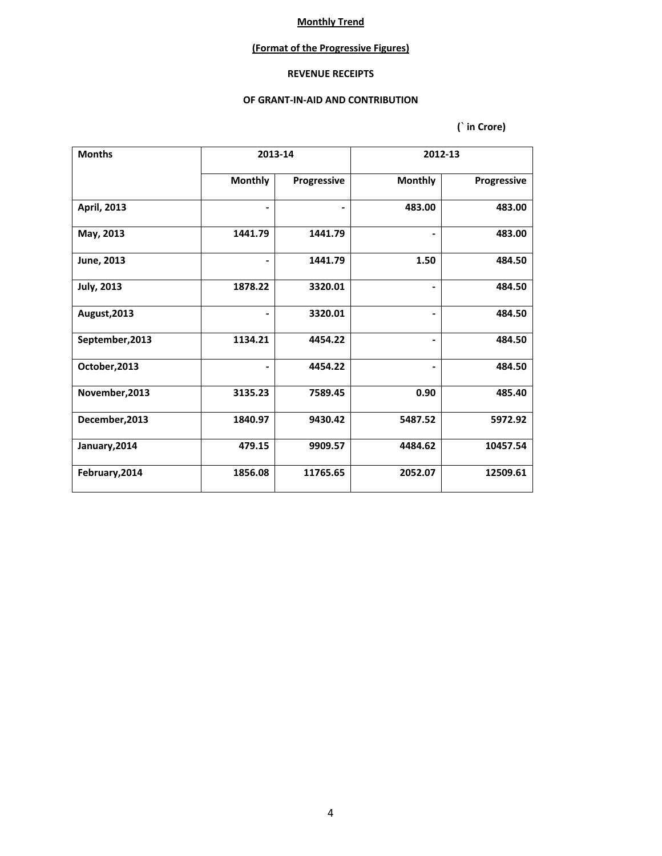### **(Format of the Progressive Figures)**

### **REVENUE RECEIPTS**

#### **OF GRANT‐IN‐AID AND CONTRIBUTION**

| <b>Months</b>      |                | 2013-14     |                | 2012-13     |
|--------------------|----------------|-------------|----------------|-------------|
|                    | <b>Monthly</b> | Progressive | <b>Monthly</b> | Progressive |
| <b>April, 2013</b> |                | -           | 483.00         | 483.00      |
| May, 2013          | 1441.79        | 1441.79     |                | 483.00      |
| June, 2013         |                | 1441.79     | 1.50           | 484.50      |
| <b>July, 2013</b>  | 1878.22        | 3320.01     | $\blacksquare$ | 484.50      |
| August, 2013       |                | 3320.01     |                | 484.50      |
| September, 2013    | 1134.21        | 4454.22     |                | 484.50      |
| October, 2013      |                | 4454.22     |                | 484.50      |
| November, 2013     | 3135.23        | 7589.45     | 0.90           | 485.40      |
| December, 2013     | 1840.97        | 9430.42     | 5487.52        | 5972.92     |
| January, 2014      | 479.15         | 9909.57     | 4484.62        | 10457.54    |
| February, 2014     | 1856.08        | 11765.65    | 2052.07        | 12509.61    |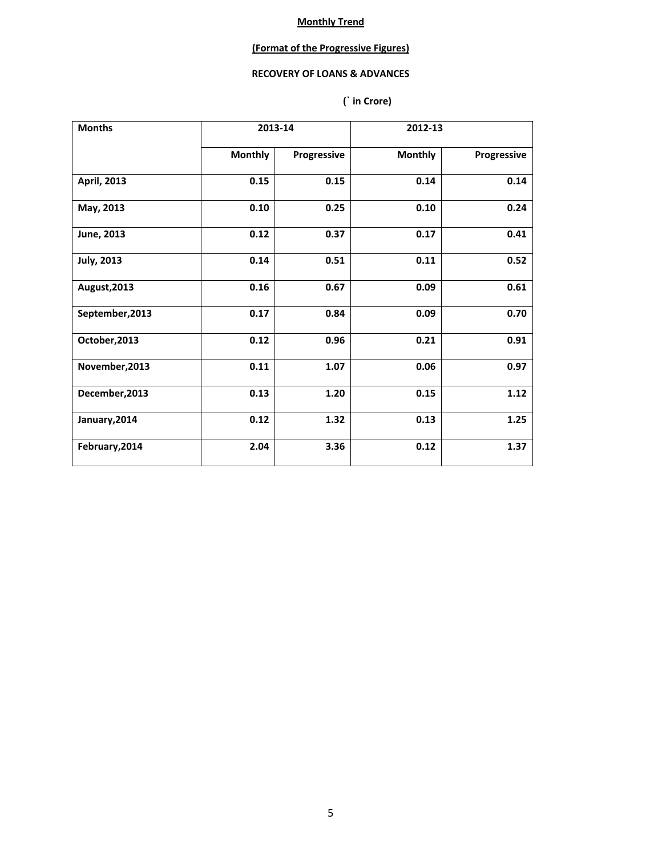## **(Format of the Progressive Figures)**

### **RECOVERY OF LOANS & ADVANCES**

| <b>Months</b>     |                | 2013-14     | 2012-13        |             |
|-------------------|----------------|-------------|----------------|-------------|
|                   | <b>Monthly</b> | Progressive | <b>Monthly</b> | Progressive |
| April, 2013       | 0.15           | 0.15        | 0.14           | 0.14        |
| May, 2013         | 0.10           | 0.25        | 0.10           | 0.24        |
| June, 2013        | 0.12           | 0.37        | 0.17           | 0.41        |
| <b>July, 2013</b> | 0.14           | 0.51        | 0.11           | 0.52        |
| August, 2013      | 0.16           | 0.67        | 0.09           | 0.61        |
| September, 2013   | 0.17           | 0.84        | 0.09           | 0.70        |
| October, 2013     | 0.12           | 0.96        | 0.21           | 0.91        |
| November, 2013    | 0.11           | 1.07        | 0.06           | 0.97        |
| December, 2013    | 0.13           | 1.20        | 0.15           | 1.12        |
| January, 2014     | 0.12           | 1.32        | 0.13           | 1.25        |
| February, 2014    | 2.04           | 3.36        | 0.12           | 1.37        |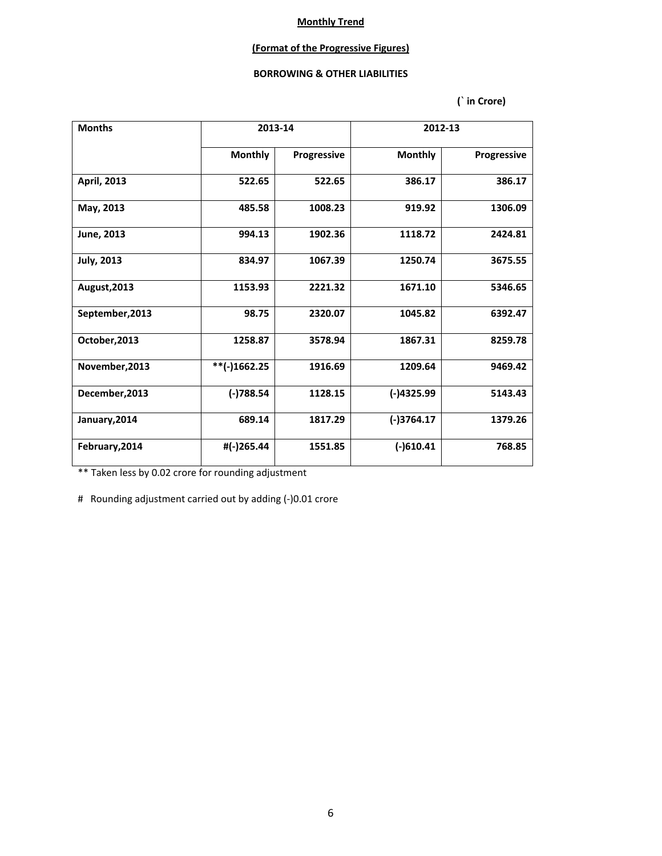### **(Format of the Progressive Figures)**

#### **BORROWING & OTHER LIABILITIES**

 **(` in Crore)**

| <b>Months</b>       | 2013-14        |             |                | 2012-13     |
|---------------------|----------------|-------------|----------------|-------------|
|                     | <b>Monthly</b> | Progressive | <b>Monthly</b> | Progressive |
| April, 2013         | 522.65         | 522.65      | 386.17         | 386.17      |
| May, 2013           | 485.58         | 1008.23     | 919.92         | 1306.09     |
| June, 2013          | 994.13         | 1902.36     | 1118.72        | 2424.81     |
| <b>July, 2013</b>   | 834.97         | 1067.39     | 1250.74        | 3675.55     |
| <b>August, 2013</b> | 1153.93        | 2221.32     | 1671.10        | 5346.65     |
| September, 2013     | 98.75          | 2320.07     | 1045.82        | 6392.47     |
| October, 2013       | 1258.87        | 3578.94     | 1867.31        | 8259.78     |
| November, 2013      | **(-)1662.25   | 1916.69     | 1209.64        | 9469.42     |
| December, 2013      | $(-)788.54$    | 1128.15     | $(-)4325.99$   | 5143.43     |
| January, 2014       | 689.14         | 1817.29     | $(-)3764.17$   | 1379.26     |
| February, 2014      | #(-)265.44     | 1551.85     | $(-)610.41$    | 768.85      |

\*\* Taken less by 0.02 crore for rounding adjustment

# Rounding adjustment carried out by adding (-)0.01 crore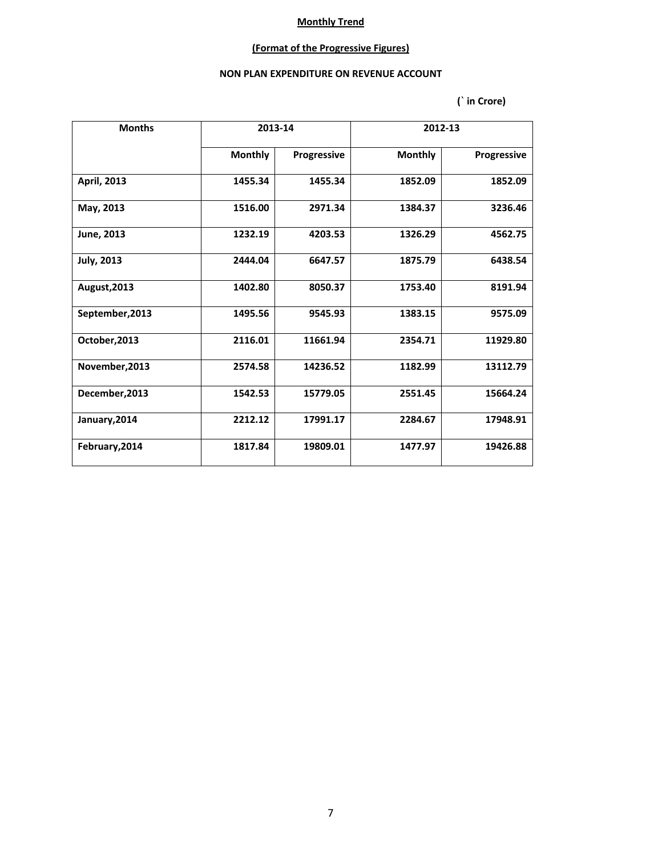# **(Format of the Progressive Figures)**

### **NON PLAN EXPENDITURE ON REVENUE ACCOUNT**

| <b>Months</b>      | 2013-14        |             | 2012-13        |             |
|--------------------|----------------|-------------|----------------|-------------|
|                    | <b>Monthly</b> | Progressive | <b>Monthly</b> | Progressive |
| <b>April, 2013</b> | 1455.34        | 1455.34     | 1852.09        | 1852.09     |
| May, 2013          | 1516.00        | 2971.34     | 1384.37        | 3236.46     |
| June, 2013         | 1232.19        | 4203.53     | 1326.29        | 4562.75     |
| <b>July, 2013</b>  | 2444.04        | 6647.57     | 1875.79        | 6438.54     |
| August, 2013       | 1402.80        | 8050.37     | 1753.40        | 8191.94     |
| September, 2013    | 1495.56        | 9545.93     | 1383.15        | 9575.09     |
| October, 2013      | 2116.01        | 11661.94    | 2354.71        | 11929.80    |
| November, 2013     | 2574.58        | 14236.52    | 1182.99        | 13112.79    |
| December, 2013     | 1542.53        | 15779.05    | 2551.45        | 15664.24    |
| January, 2014      | 2212.12        | 17991.17    | 2284.67        | 17948.91    |
| February, 2014     | 1817.84        | 19809.01    | 1477.97        | 19426.88    |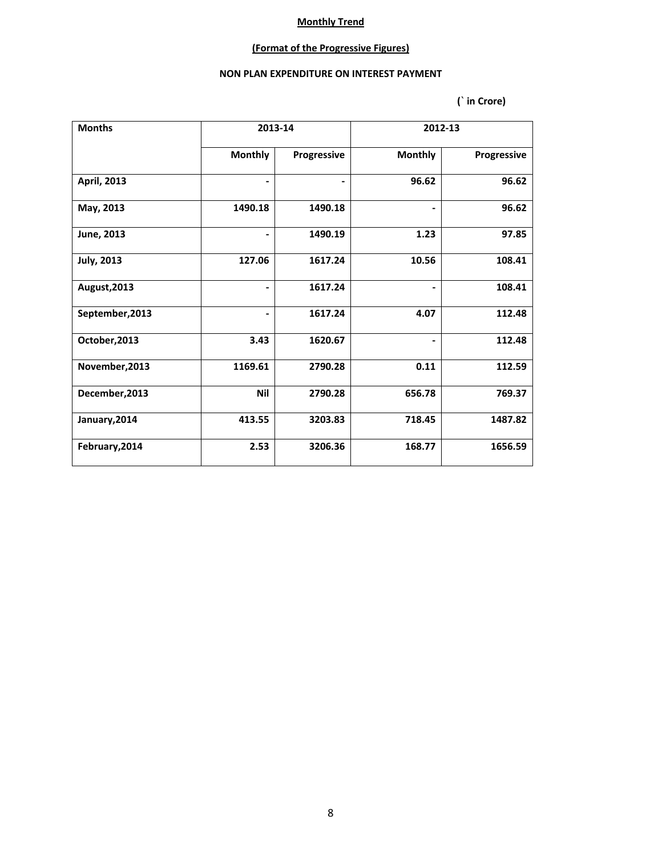# **(Format of the Progressive Figures)**

### **NON PLAN EXPENDITURE ON INTEREST PAYMENT**

| <b>Months</b>      |                | 2013-14     |                | 2012-13     |
|--------------------|----------------|-------------|----------------|-------------|
|                    | <b>Monthly</b> | Progressive | <b>Monthly</b> | Progressive |
| <b>April, 2013</b> |                | ۰.          | 96.62          | 96.62       |
| May, 2013          | 1490.18        | 1490.18     |                | 96.62       |
| June, 2013         |                | 1490.19     | 1.23           | 97.85       |
| <b>July, 2013</b>  | 127.06         | 1617.24     | 10.56          | 108.41      |
| August, 2013       | ۰.             | 1617.24     |                | 108.41      |
| September, 2013    |                | 1617.24     | 4.07           | 112.48      |
| October, 2013      | 3.43           | 1620.67     |                | 112.48      |
| November, 2013     | 1169.61        | 2790.28     | 0.11           | 112.59      |
| December, 2013     | Nil            | 2790.28     | 656.78         | 769.37      |
| January, 2014      | 413.55         | 3203.83     | 718.45         | 1487.82     |
| February, 2014     | 2.53           | 3206.36     | 168.77         | 1656.59     |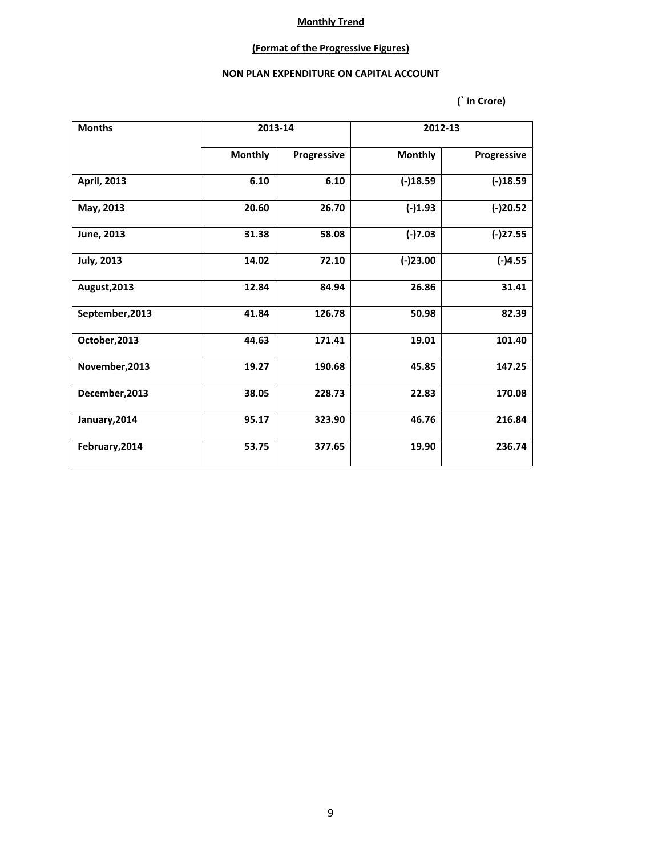# **(Format of the Progressive Figures)**

### **NON PLAN EXPENDITURE ON CAPITAL ACCOUNT**

| <b>Months</b>     |                | 2013-14<br>2012-13 |                |             |
|-------------------|----------------|--------------------|----------------|-------------|
|                   | <b>Monthly</b> | Progressive        | <b>Monthly</b> | Progressive |
| April, 2013       | 6.10           | 6.10               | $(-)18.59$     | $(-)18.59$  |
| May, 2013         | 20.60          | 26.70              | $(-)1.93$      | $(-)20.52$  |
| June, 2013        | 31.38          | 58.08              | $(-)7.03$      | $(-)27.55$  |
| <b>July, 2013</b> | 14.02          | 72.10              | $(-)23.00$     | $(-)4.55$   |
| August, 2013      | 12.84          | 84.94              | 26.86          | 31.41       |
| September, 2013   | 41.84          | 126.78             | 50.98          | 82.39       |
| October, 2013     | 44.63          | 171.41             | 19.01          | 101.40      |
| November, 2013    | 19.27          | 190.68             | 45.85          | 147.25      |
| December, 2013    | 38.05          | 228.73             | 22.83          | 170.08      |
| January, 2014     | 95.17          | 323.90             | 46.76          | 216.84      |
| February, 2014    | 53.75          | 377.65             | 19.90          | 236.74      |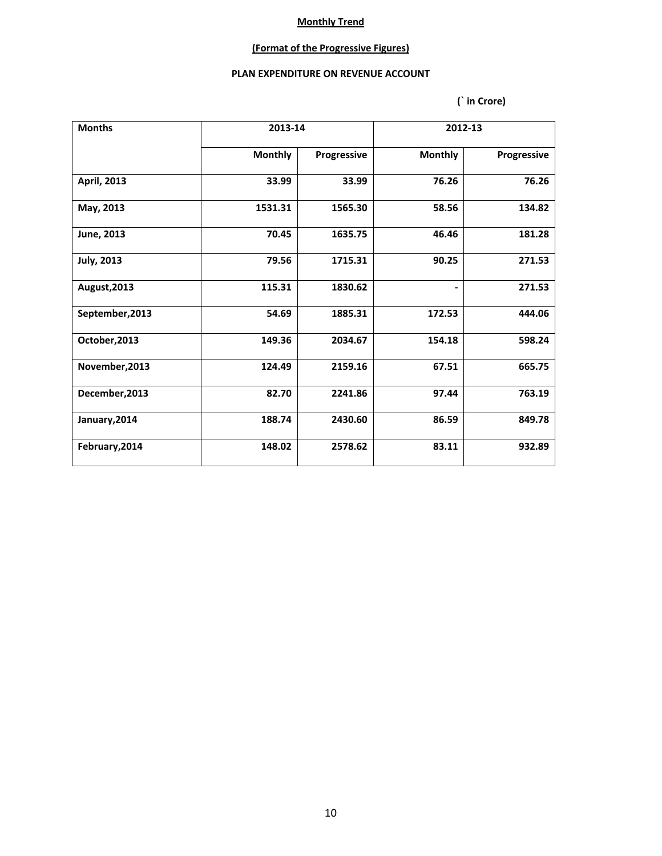### **(Format of the Progressive Figures)**

### **PLAN EXPENDITURE ON REVENUE ACCOUNT**

| <b>Months</b>      |                | 2013-14     |                | 2012-13     |  |
|--------------------|----------------|-------------|----------------|-------------|--|
|                    | <b>Monthly</b> | Progressive | <b>Monthly</b> | Progressive |  |
| <b>April, 2013</b> | 33.99          | 33.99       | 76.26          | 76.26       |  |
| May, 2013          | 1531.31        | 1565.30     | 58.56          | 134.82      |  |
| June, 2013         | 70.45          | 1635.75     | 46.46          | 181.28      |  |
| <b>July, 2013</b>  | 79.56          | 1715.31     | 90.25          | 271.53      |  |
| August, 2013       | 115.31         | 1830.62     | -              | 271.53      |  |
| September, 2013    | 54.69          | 1885.31     | 172.53         | 444.06      |  |
| October, 2013      | 149.36         | 2034.67     | 154.18         | 598.24      |  |
| November, 2013     | 124.49         | 2159.16     | 67.51          | 665.75      |  |
| December, 2013     | 82.70          | 2241.86     | 97.44          | 763.19      |  |
| January, 2014      | 188.74         | 2430.60     | 86.59          | 849.78      |  |
| February, 2014     | 148.02         | 2578.62     | 83.11          | 932.89      |  |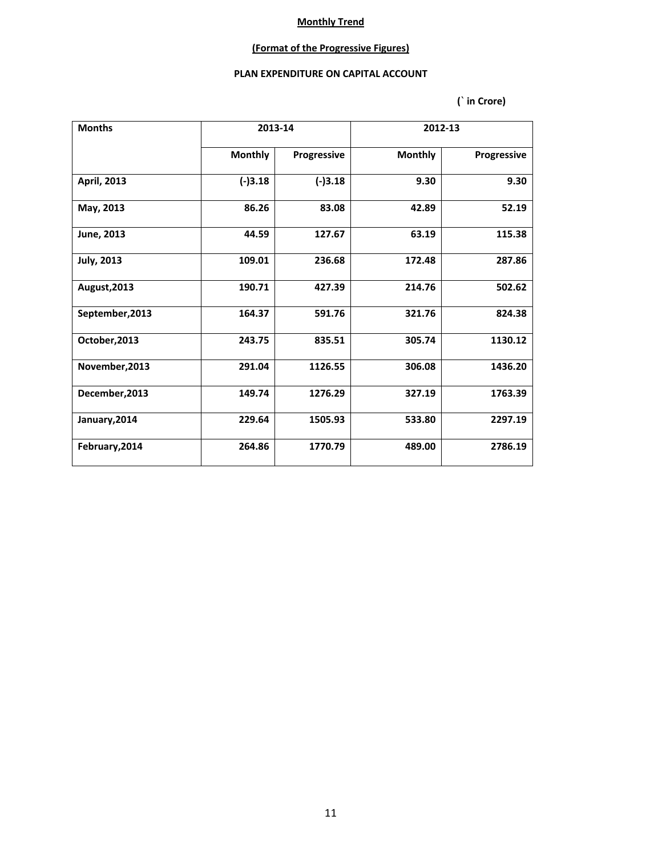### **(Format of the Progressive Figures)**

#### **PLAN EXPENDITURE ON CAPITAL ACCOUNT**

| <b>Months</b>      | 2013-14        |             |                | 2012-13     |
|--------------------|----------------|-------------|----------------|-------------|
|                    | <b>Monthly</b> | Progressive | <b>Monthly</b> | Progressive |
| <b>April, 2013</b> | $(-)3.18$      | $(-)3.18$   | 9.30           | 9.30        |
| May, 2013          | 86.26          | 83.08       | 42.89          | 52.19       |
| June, 2013         | 44.59          | 127.67      | 63.19          | 115.38      |
| <b>July, 2013</b>  | 109.01         | 236.68      | 172.48         | 287.86      |
| August, 2013       | 190.71         | 427.39      | 214.76         | 502.62      |
| September, 2013    | 164.37         | 591.76      | 321.76         | 824.38      |
| October, 2013      | 243.75         | 835.51      | 305.74         | 1130.12     |
| November, 2013     | 291.04         | 1126.55     | 306.08         | 1436.20     |
| December, 2013     | 149.74         | 1276.29     | 327.19         | 1763.39     |
| January, 2014      | 229.64         | 1505.93     | 533.80         | 2297.19     |
| February, 2014     | 264.86         | 1770.79     | 489.00         | 2786.19     |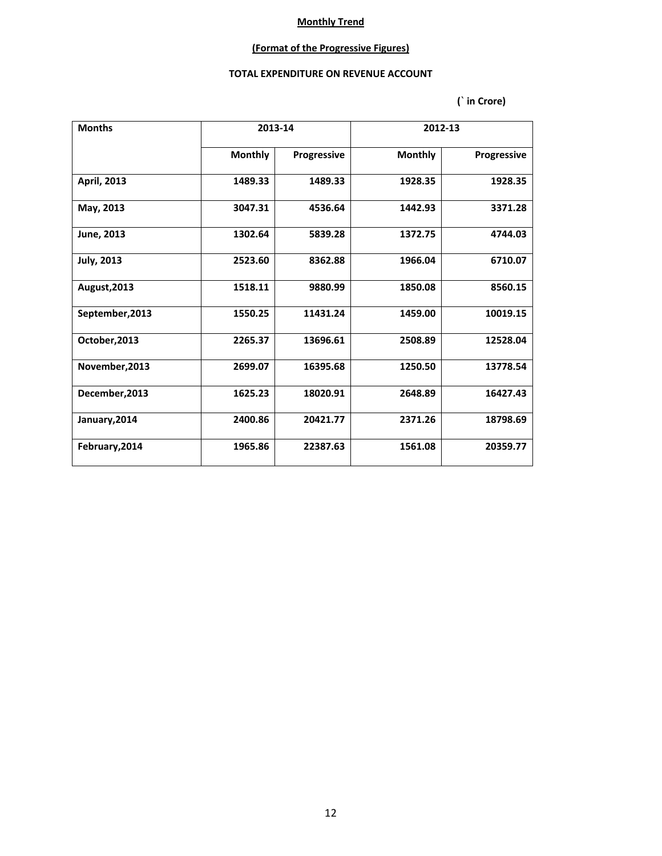## **(Format of the Progressive Figures)**

#### **TOTAL EXPENDITURE ON REVENUE ACCOUNT**

| <b>Months</b>     |                | 2013-14     |                | 2012-13     |
|-------------------|----------------|-------------|----------------|-------------|
|                   | <b>Monthly</b> | Progressive | <b>Monthly</b> | Progressive |
| April, 2013       | 1489.33        | 1489.33     | 1928.35        | 1928.35     |
| May, 2013         | 3047.31        | 4536.64     | 1442.93        | 3371.28     |
| June, 2013        | 1302.64        | 5839.28     | 1372.75        | 4744.03     |
| <b>July, 2013</b> | 2523.60        | 8362.88     | 1966.04        | 6710.07     |
| August, 2013      | 1518.11        | 9880.99     | 1850.08        | 8560.15     |
| September, 2013   | 1550.25        | 11431.24    | 1459.00        | 10019.15    |
| October, 2013     | 2265.37        | 13696.61    | 2508.89        | 12528.04    |
| November, 2013    | 2699.07        | 16395.68    | 1250.50        | 13778.54    |
| December, 2013    | 1625.23        | 18020.91    | 2648.89        | 16427.43    |
| January, 2014     | 2400.86        | 20421.77    | 2371.26        | 18798.69    |
| February, 2014    | 1965.86        | 22387.63    | 1561.08        | 20359.77    |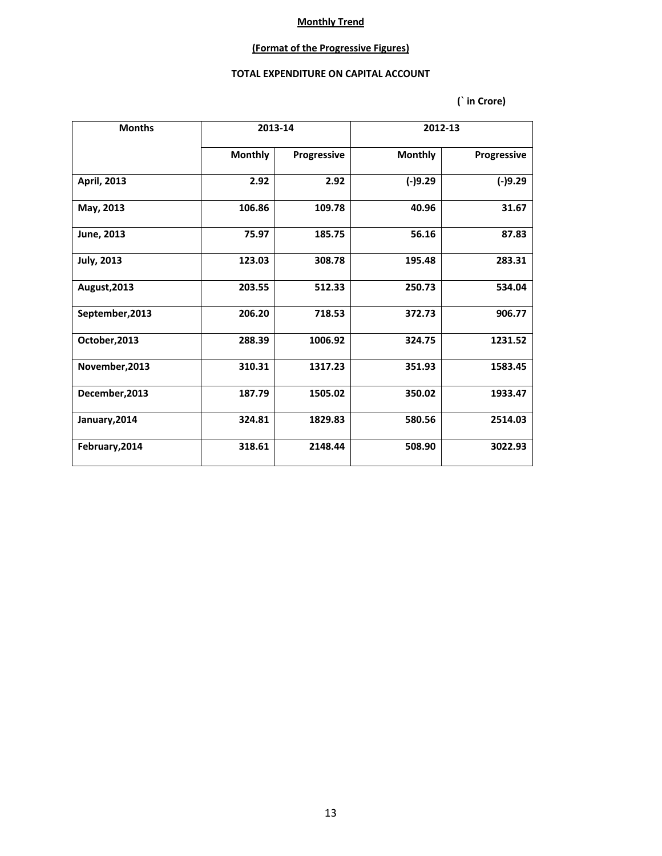### **(Format of the Progressive Figures)**

### **TOTAL EXPENDITURE ON CAPITAL ACCOUNT**

| <b>Months</b>     | 2013-14        |             | 2012-13        |             |
|-------------------|----------------|-------------|----------------|-------------|
|                   | <b>Monthly</b> | Progressive | <b>Monthly</b> | Progressive |
| April, 2013       | 2.92           | 2.92        | $(-)9.29$      | $(-)9.29$   |
| May, 2013         | 106.86         | 109.78      | 40.96          | 31.67       |
| June, 2013        | 75.97          | 185.75      | 56.16          | 87.83       |
| <b>July, 2013</b> | 123.03         | 308.78      | 195.48         | 283.31      |
| August, 2013      | 203.55         | 512.33      | 250.73         | 534.04      |
| September, 2013   | 206.20         | 718.53      | 372.73         | 906.77      |
| October, 2013     | 288.39         | 1006.92     | 324.75         | 1231.52     |
| November, 2013    | 310.31         | 1317.23     | 351.93         | 1583.45     |
| December, 2013    | 187.79         | 1505.02     | 350.02         | 1933.47     |
| January, 2014     | 324.81         | 1829.83     | 580.56         | 2514.03     |
| February, 2014    | 318.61         | 2148.44     | 508.90         | 3022.93     |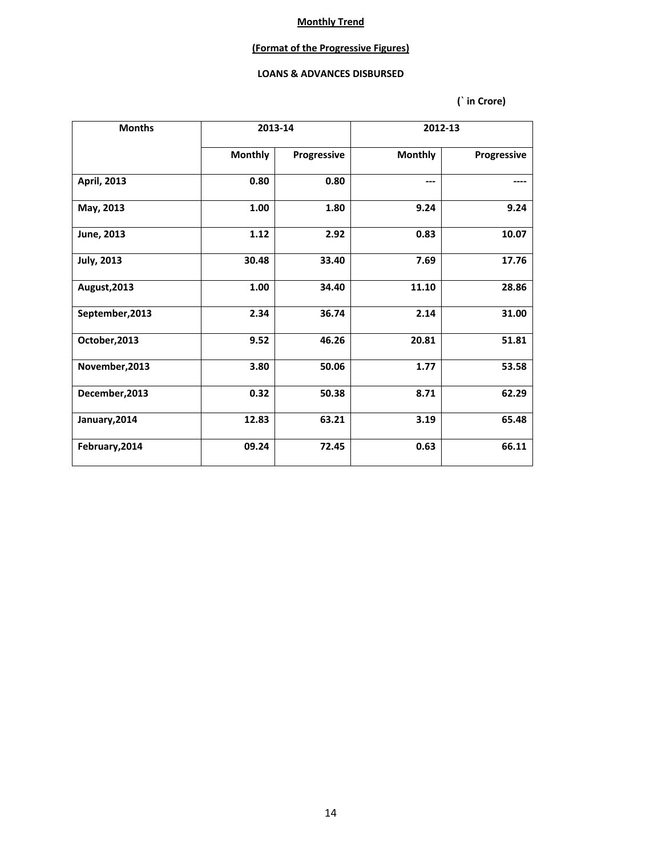### **(Format of the Progressive Figures)**

#### **LOANS & ADVANCES DISBURSED**

| <b>Months</b>      |                | 2013-14     |                | 2012-13     |  |  |
|--------------------|----------------|-------------|----------------|-------------|--|--|
|                    | <b>Monthly</b> | Progressive | <b>Monthly</b> | Progressive |  |  |
| <b>April, 2013</b> | 0.80           | 0.80        | ---            |             |  |  |
| May, 2013          | 1.00           | 1.80        | 9.24           | 9.24        |  |  |
| June, 2013         | 1.12           | 2.92        | 0.83           | 10.07       |  |  |
| <b>July, 2013</b>  | 30.48          | 33.40       | 7.69           | 17.76       |  |  |
| August, 2013       | 1.00           | 34.40       | 11.10          | 28.86       |  |  |
| September, 2013    | 2.34           | 36.74       | 2.14           | 31.00       |  |  |
| October, 2013      | 9.52           | 46.26       | 20.81          | 51.81       |  |  |
| November, 2013     | 3.80           | 50.06       | 1.77           | 53.58       |  |  |
| December, 2013     | 0.32           | 50.38       | 8.71           | 62.29       |  |  |
| January, 2014      | 12.83          | 63.21       | 3.19           | 65.48       |  |  |
| February, 2014     | 09.24          | 72.45       | 0.63           | 66.11       |  |  |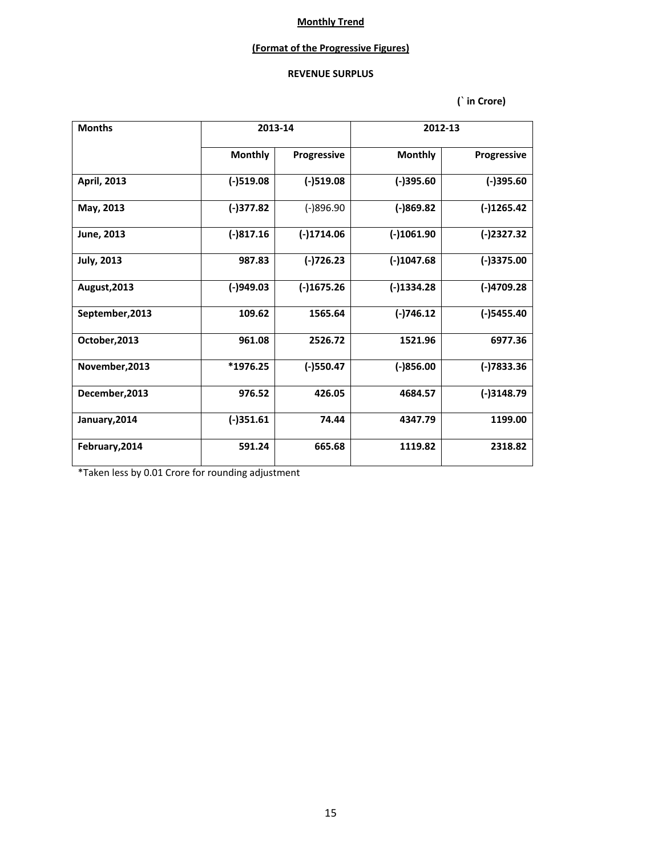### **(Format of the Progressive Figures)**

## **REVENUE SURPLUS**

 **(` in Crore)**

| <b>Months</b>     | 2013-14        |              | 2012-13        |               |
|-------------------|----------------|--------------|----------------|---------------|
|                   | <b>Monthly</b> | Progressive  | <b>Monthly</b> | Progressive   |
| April, 2013       | $(-)519.08$    | $(-)519.08$  | $(-)395.60$    | $(-)395.60$   |
| May, 2013         | (-)377.82      | $(-)896.90$  | $(-)869.82$    | $(-)1265.42$  |
| June, 2013        | $(-)817.16$    | $(-)1714.06$ | $(-)1061.90$   | $(-)2327.32$  |
| <b>July, 2013</b> | 987.83         | $(-)726.23$  | $(-)1047.68$   | $(-)3375.00$  |
| August, 2013      | $(-)949.03$    | $(-)1675.26$ | $(-)1334.28$   | $(-)4709.28$  |
| September, 2013   | 109.62         | 1565.64      | $(-)746.12$    | $(-)$ 5455.40 |
| October, 2013     | 961.08         | 2526.72      | 1521.96        | 6977.36       |
| November, 2013    | *1976.25       | $(-)$ 550.47 | $(-)856.00$    | $(-)7833.36$  |
| December, 2013    | 976.52         | 426.05       | 4684.57        | $(-)3148.79$  |
| January, 2014     | $(-)351.61$    | 74.44        | 4347.79        | 1199.00       |
| February, 2014    | 591.24         | 665.68       | 1119.82        | 2318.82       |

\*Taken less by 0.01 Crore for rounding adjustment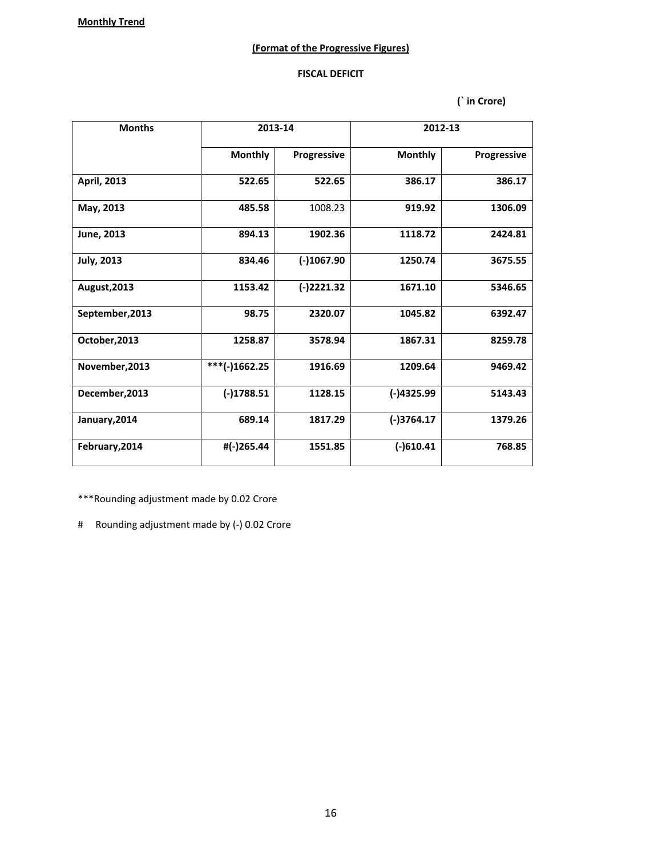### **(Format of the Progressive Figures)**

#### **FISCAL DEFICIT**

 **(` in Crore)**

| <b>Months</b>     | 2013-14         |              | 2012-13        |             |  |
|-------------------|-----------------|--------------|----------------|-------------|--|
|                   | <b>Monthly</b>  | Progressive  | <b>Monthly</b> | Progressive |  |
| April, 2013       | 522.65          | 522.65       | 386.17         | 386.17      |  |
| May, 2013         | 485.58          | 1008.23      | 919.92         | 1306.09     |  |
| June, 2013        | 894.13          | 1902.36      | 1118.72        | 2424.81     |  |
| <b>July, 2013</b> | 834.46          | $(-)1067.90$ | 1250.74        | 3675.55     |  |
| August, 2013      | 1153.42         | $(-)2221.32$ | 1671.10        | 5346.65     |  |
| September, 2013   | 98.75           | 2320.07      | 1045.82        | 6392.47     |  |
| October, 2013     | 1258.87         | 3578.94      | 1867.31        | 8259.78     |  |
| November, 2013    | $***(-)1662.25$ | 1916.69      | 1209.64        | 9469.42     |  |
| December, 2013    | $(-)1788.51$    | 1128.15      | $(-)4325.99$   | 5143.43     |  |
| January, 2014     | 689.14          | 1817.29      | $(-)3764.17$   | 1379.26     |  |
| February, 2014    | #(-)265.44      | 1551.85      | $(-)610.41$    | 768.85      |  |

\*\*\*Rounding adjustment made by 0.02 Crore

# Rounding adjustment made by (-) 0.02 Crore